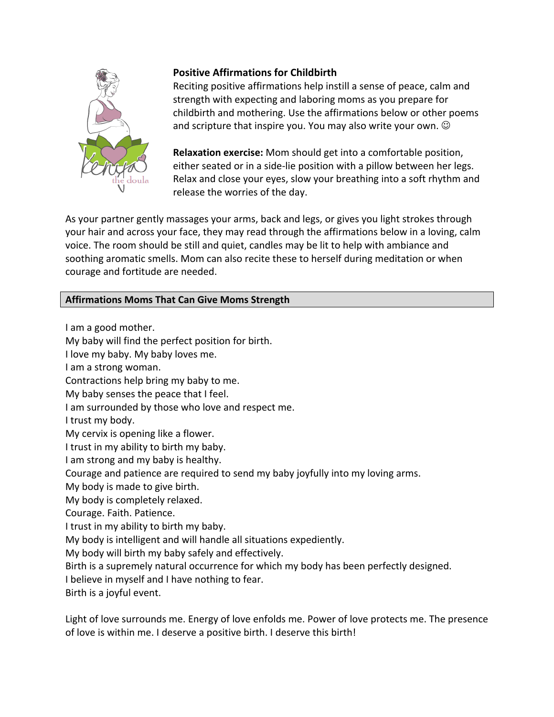

## **Positive Affirmations for Childbirth**

Reciting positive affirmations help instill a sense of peace, calm and strength with expecting and laboring moms as you prepare for childbirth and mothering. Use the affirmations below or other poems and scripture that inspire you. You may also write your own.  $\odot$ 

**Relaxation exercise:** Mom should get into a comfortable position, either seated or in a side-lie position with a pillow between her legs. Relax and close your eyes, slow your breathing into a soft rhythm and release the worries of the day.

As your partner gently massages your arms, back and legs, or gives you light strokes through your hair and across your face, they may read through the affirmations below in a loving, calm voice. The room should be still and quiet, candles may be lit to help with ambiance and soothing aromatic smells. Mom can also recite these to herself during meditation or when courage and fortitude are needed.

## **Affirmations Moms That Can Give Moms Strength**

I am a good mother. My baby will find the perfect position for birth. I love my baby. My baby loves me. I am a strong woman. Contractions help bring my baby to me. My baby senses the peace that I feel. I am surrounded by those who love and respect me. I trust my body. My cervix is opening like a flower. I trust in my ability to birth my baby. I am strong and my baby is healthy. Courage and patience are required to send my baby joyfully into my loving arms. My body is made to give birth. My body is completely relaxed. Courage. Faith. Patience. I trust in my ability to birth my baby. My body is intelligent and will handle all situations expediently. My body will birth my baby safely and effectively. Birth is a supremely natural occurrence for which my body has been perfectly designed. I believe in myself and I have nothing to fear. Birth is a joyful event.

Light of love surrounds me. Energy of love enfolds me. Power of love protects me. The presence of love is within me. I deserve a positive birth. I deserve this birth!